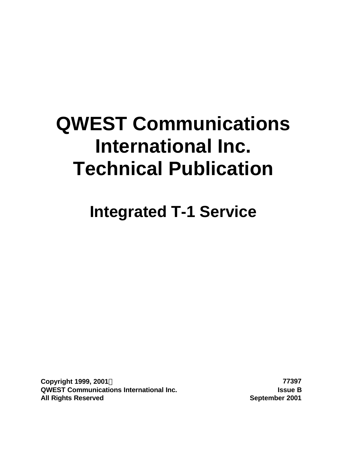# **QWEST Communications International Inc. Technical Publication**

**Integrated T-1 Service**

**Copyright 1999, 2001Ó 77397 QWEST Communications International Inc. Issue B All Rights Reserved September 2001**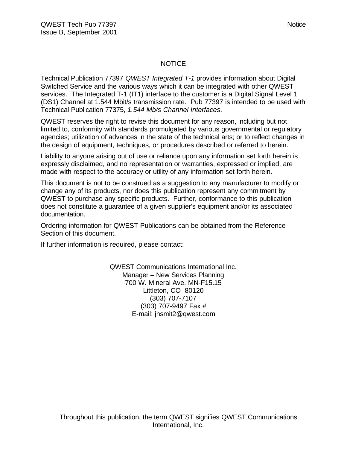# NOTICE

Technical Publication 77397 *QWEST Integrated T-1* provides information about Digital Switched Service and the various ways which it can be integrated with other QWEST services. The Integrated T-1 (IT1) interface to the customer is a Digital Signal Level 1 (DS1) Channel at 1.544 Mbit/s transmission rate. Pub 77397 is intended to be used with Technical Publication 77375, *1.544 Mb/s Channel Interfaces*.

QWEST reserves the right to revise this document for any reason, including but not limited to, conformity with standards promulgated by various governmental or regulatory agencies; utilization of advances in the state of the technical arts; or to reflect changes in the design of equipment, techniques, or procedures described or referred to herein.

Liability to anyone arising out of use or reliance upon any information set forth herein is expressly disclaimed, and no representation or warranties, expressed or implied, are made with respect to the accuracy or utility of any information set forth herein.

This document is not to be construed as a suggestion to any manufacturer to modify or change any of its products, nor does this publication represent any commitment by QWEST to purchase any specific products. Further, conformance to this publication does not constitute a guarantee of a given supplier's equipment and/or its associated documentation.

Ordering information for QWEST Publications can be obtained from the Reference Section of this document.

If further information is required, please contact:

QWEST Communications International Inc. Manager – New Services Planning 700 W. Mineral Ave. MN-F15.15 Littleton, CO 80120 (303) 707-7107 (303) 707-9497 Fax # E-mail: jhsmit2@qwest.com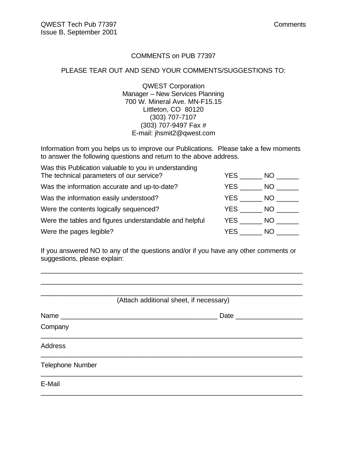# COMMENTS on PUB 77397

# PLEASE TEAR OUT AND SEND YOUR COMMENTS/SUGGESTIONS TO:

QWEST Corporation Manager – New Services Planning 700 W. Mineral Ave. MN-F15.15 Littleton, CO 80120 (303) 707-7107 (303) 707-9497 Fax # E-mail: jhsmit2@qwest.com

Information from you helps us to improve our Publications. Please take a few moments to answer the following questions and return to the above address.

| Was this Publication valuable to you in understanding  |      |     |
|--------------------------------------------------------|------|-----|
| The technical parameters of our service?               | YES. | NO. |
| Was the information accurate and up-to-date?           | YES. | NO. |
| Was the information easily understood?                 | YES. | NO. |
| Were the contents logically sequenced?                 | YES  | NO. |
| Were the tables and figures understandable and helpful | YES  | NO. |
| Were the pages legible?                                | YES  | NO. |

If you answered NO to any of the questions and/or if you have any other comments or suggestions, please explain:

\_\_\_\_\_\_\_\_\_\_\_\_\_\_\_\_\_\_\_\_\_\_\_\_\_\_\_\_\_\_\_\_\_\_\_\_\_\_\_\_\_\_\_\_\_\_\_\_\_\_\_\_\_\_\_\_\_\_\_\_\_\_\_\_\_\_\_\_\_\_ \_\_\_\_\_\_\_\_\_\_\_\_\_\_\_\_\_\_\_\_\_\_\_\_\_\_\_\_\_\_\_\_\_\_\_\_\_\_\_\_\_\_\_\_\_\_\_\_\_\_\_\_\_\_\_\_\_\_\_\_\_\_\_\_\_\_\_\_\_\_

| (Attach additional sheet, if necessary) |                      |  |  |  |  |  |
|-----------------------------------------|----------------------|--|--|--|--|--|
|                                         | Date _______________ |  |  |  |  |  |
| Company                                 |                      |  |  |  |  |  |
| <b>Address</b>                          |                      |  |  |  |  |  |
| <b>Telephone Number</b>                 |                      |  |  |  |  |  |
| E-Mail                                  |                      |  |  |  |  |  |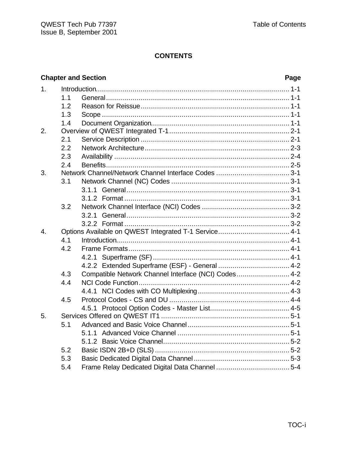|                |     | <b>Chapter and Section</b>                            | Page |
|----------------|-----|-------------------------------------------------------|------|
| 1 <sub>1</sub> |     |                                                       |      |
|                | 1.1 |                                                       |      |
|                | 1.2 |                                                       |      |
|                | 1.3 |                                                       |      |
|                | 1.4 |                                                       |      |
| 2.             |     |                                                       |      |
|                | 2.1 |                                                       |      |
|                | 2.2 |                                                       |      |
|                | 2.3 |                                                       |      |
|                | 2.4 |                                                       |      |
| 3.             |     |                                                       |      |
|                | 3.1 |                                                       |      |
|                |     |                                                       |      |
|                |     |                                                       |      |
|                | 3.2 |                                                       |      |
|                |     |                                                       |      |
|                |     |                                                       |      |
| 4.             |     | Options Available on QWEST Integrated T-1 Service 4-1 |      |
|                | 4.1 |                                                       |      |
|                | 4.2 |                                                       |      |
|                |     |                                                       |      |
|                |     |                                                       |      |
|                | 4.3 | Compatible Network Channel Interface (NCI) Codes 4-2  |      |
|                | 4.4 |                                                       |      |
|                |     |                                                       |      |
|                | 4.5 |                                                       |      |
|                |     |                                                       |      |
| 5.             |     |                                                       |      |
|                | 5.1 |                                                       |      |
|                |     | 5.1.1                                                 |      |
|                |     |                                                       |      |
|                | 5.2 |                                                       |      |
|                | 5.3 |                                                       |      |
|                | 5.4 |                                                       |      |
|                |     |                                                       |      |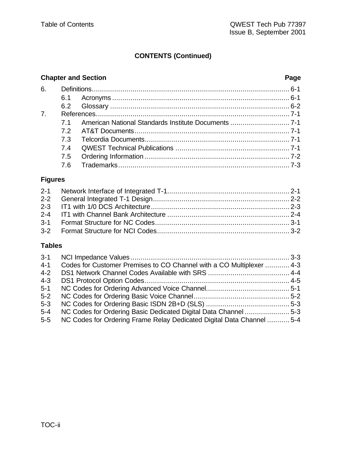# **CONTENTS (Continued)**

# **Chapter and Section Page**

| 7.4 |  |
|-----|--|
|     |  |
| 7.6 |  |

# **Figures**

# **Tables**

| $3 - 1$<br>$4 - 1$ | Codes for Customer Premises to CO Channel with a CO Multiplexer  4-3  |  |
|--------------------|-----------------------------------------------------------------------|--|
| $4 - 2$            |                                                                       |  |
| $4 - 3$            |                                                                       |  |
| $5 - 1$            |                                                                       |  |
| $5-2$              |                                                                       |  |
| $5 - 3$            |                                                                       |  |
| $5 - 4$            | NC Codes for Ordering Basic Dedicated Digital Data Channel 5-3        |  |
| $5-5$              | NC Codes for Ordering Frame Relay Dedicated Digital Data Channel  5-4 |  |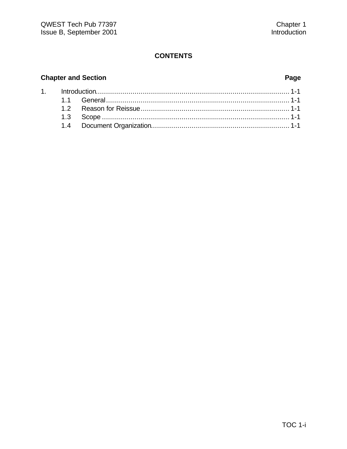# **Chapter and Section**

# Page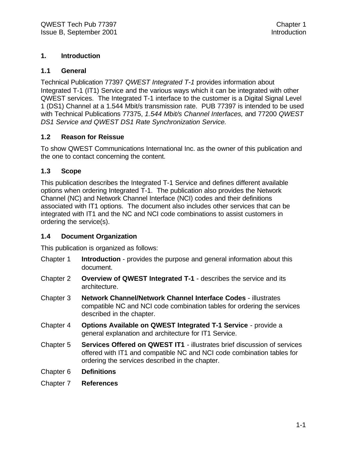# **1. Introduction**

#### **1.1 General**

Technical Publication 77397 *QWEST Integrated T-1* provides information about Integrated T-1 (IT1) Service and the various ways which it can be integrated with other QWEST services. The Integrated T-1 interface to the customer is a Digital Signal Level 1 (DS1) Channel at a 1.544 Mbit/s transmission rate. PUB 77397 is intended to be used with Technical Publications 77375, *1.544 Mbit/s Channel Interfaces,* and 77200 *QWEST DS1 Service and QWEST DS1 Rate Synchronization Service.*

# **1.2 Reason for Reissue**

To show QWEST Communications International Inc. as the owner of this publication and the one to contact concerning the content.

# **1.3 Scope**

This publication describes the Integrated T-1 Service and defines different available options when ordering Integrated T-1. The publication also provides the Network Channel (NC) and Network Channel Interface (NCI) codes and their definitions associated with IT1 options. The document also includes other services that can be integrated with IT1 and the NC and NCI code combinations to assist customers in ordering the service(s).

### **1.4 Document Organization**

This publication is organized as follows:

- Chapter 1 **Introduction** provides the purpose and general information about this document.
- Chapter 2 **Overview of QWEST Integrated T-1** describes the service and its architecture.
- Chapter 3 **Network Channel/Network Channel Interface Codes** illustrates compatible NC and NCI code combination tables for ordering the services described in the chapter.
- Chapter 4 **Options Available on QWEST Integrated T-1 Service**  provide a general explanation and architecture for IT1 Service.
- Chapter 5 **Services Offered on QWEST IT1**  illustrates brief discussion of services offered with IT1 and compatible NC and NCI code combination tables for ordering the services described in the chapter.
- Chapter 6 **Definitions**
- Chapter 7 **References**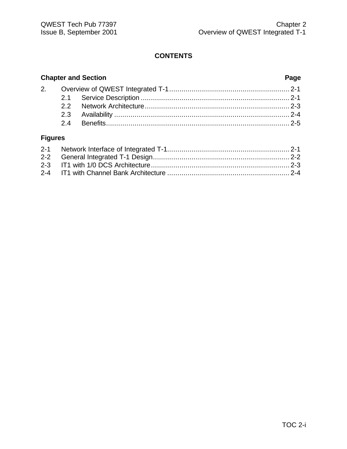# **Chapter and Section Page** 2. Overview of QWEST Integrated T-1........................................................... 2-1 2.1 Service Description ......................................................................... 2-1 2.2 Network Architecture....................................................................... 2-3

2.3 Availability ...................................................................................... 2-4 2.4 Benefits.......................................................................................... 2-5

# **Figures**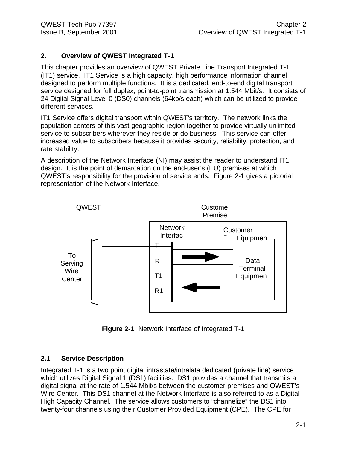# **2. Overview of QWEST Integrated T-1**

This chapter provides an overview of QWEST Private Line Transport Integrated T-1 (IT1) service. IT1 Service is a high capacity, high performance information channel designed to perform multiple functions. It is a dedicated, end-to-end digital transport service designed for full duplex, point-to-point transmission at 1.544 Mbit/s. It consists of 24 Digital Signal Level 0 (DS0) channels (64kb/s each) which can be utilized to provide different services.

IT1 Service offers digital transport within QWEST's territory. The network links the population centers of this vast geographic region together to provide virtually unlimited service to subscribers wherever they reside or do business. This service can offer increased value to subscribers because it provides security, reliability, protection, and rate stability.

A description of the Network Interface (NI) may assist the reader to understand IT1 design. It is the point of demarcation on the end-user's (EU) premises at which QWEST's responsibility for the provision of service ends. Figure 2-1 gives a pictorial representation of the Network Interface.



**Figure 2-1** Network Interface of Integrated T-1

# **2.1 Service Description**

Integrated T-1 is a two point digital intrastate/intralata dedicated (private line) service which utilizes Digital Signal 1 (DS1) facilities. DS1 provides a channel that transmits a digital signal at the rate of 1.544 Mbit/s between the customer premises and QWEST's Wire Center. This DS1 channel at the Network Interface is also referred to as a Digital High Capacity Channel. The service allows customers to "channelize" the DS1 into twenty-four channels using their Customer Provided Equipment (CPE). The CPE for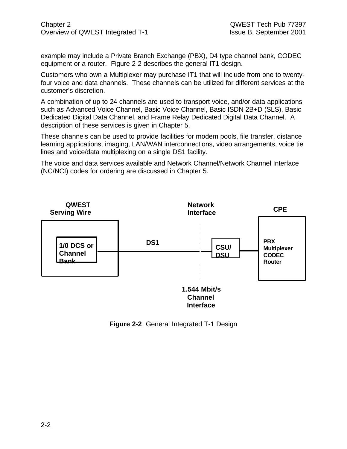Chapter 2 QWEST Tech Pub 77397 Overview of QWEST Integrated T-1 Issue B, September 2001

example may include a Private Branch Exchange (PBX), D4 type channel bank, CODEC equipment or a router. Figure 2-2 describes the general IT1 design.

Customers who own a Multiplexer may purchase IT1 that will include from one to twentyfour voice and data channels. These channels can be utilized for different services at the customer's discretion.

A combination of up to 24 channels are used to transport voice, and/or data applications such as Advanced Voice Channel, Basic Voice Channel, Basic ISDN 2B+D (SLS), Basic Dedicated Digital Data Channel, and Frame Relay Dedicated Digital Data Channel. A description of these services is given in Chapter 5.

These channels can be used to provide facilities for modem pools, file transfer, distance learning applications, imaging, LAN/WAN interconnections, video arrangements, voice tie lines and voice/data multiplexing on a single DS1 facility.

The voice and data services available and Network Channel/Network Channel Interface (NC/NCI) codes for ordering are discussed in Chapter 5.



**Figure 2-2** General Integrated T-1 Design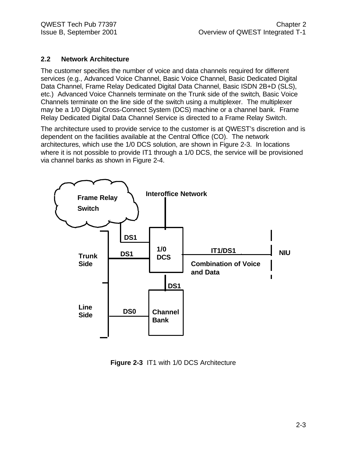# **2.2 Network Architecture**

The customer specifies the number of voice and data channels required for different services (e.g., Advanced Voice Channel, Basic Voice Channel, Basic Dedicated Digital Data Channel, Frame Relay Dedicated Digital Data Channel, Basic ISDN 2B+D (SLS), etc.) Advanced Voice Channels terminate on the Trunk side of the switch, Basic Voice Channels terminate on the line side of the switch using a multiplexer. The multiplexer may be a 1/0 Digital Cross-Connect System (DCS) machine or a channel bank. Frame Relay Dedicated Digital Data Channel Service is directed to a Frame Relay Switch.

The architecture used to provide service to the customer is at QWEST's discretion and is dependent on the facilities available at the Central Office (CO). The network architectures, which use the 1/0 DCS solution, are shown in Figure 2-3. In locations where it is not possible to provide IT1 through a 1/0 DCS, the service will be provisioned via channel banks as shown in Figure 2-4.



**Figure 2-3** IT1 with 1/0 DCS Architecture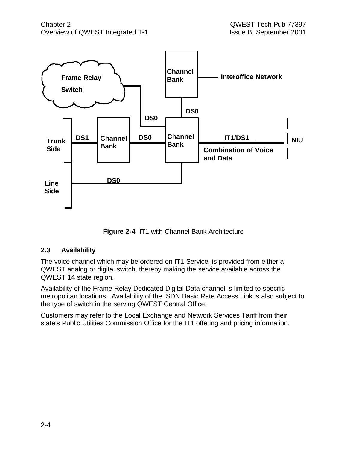

**Figure 2-4** IT1 with Channel Bank Architecture

# **2.3 Availability**

The voice channel which may be ordered on IT1 Service, is provided from either a QWEST analog or digital switch, thereby making the service available across the QWEST 14 state region.

Availability of the Frame Relay Dedicated Digital Data channel is limited to specific metropolitan locations. Availability of the ISDN Basic Rate Access Link is also subject to the type of switch in the serving QWEST Central Office.

Customers may refer to the Local Exchange and Network Services Tariff from their state's Public Utilities Commission Office for the IT1 offering and pricing information.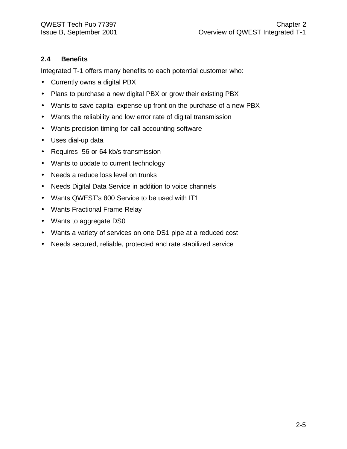# **2.4 Benefits**

Integrated T-1 offers many benefits to each potential customer who:

- Currently owns a digital PBX
- Plans to purchase a new digital PBX or grow their existing PBX
- Wants to save capital expense up front on the purchase of a new PBX
- Wants the reliability and low error rate of digital transmission
- Wants precision timing for call accounting software
- Uses dial-up data
- Requires 56 or 64 kb/s transmission
- Wants to update to current technology
- Needs a reduce loss level on trunks
- Needs Digital Data Service in addition to voice channels
- Wants QWEST's 800 Service to be used with IT1
- Wants Fractional Frame Relay
- Wants to aggregate DS0
- Wants a variety of services on one DS1 pipe at a reduced cost
- Needs secured, reliable, protected and rate stabilized service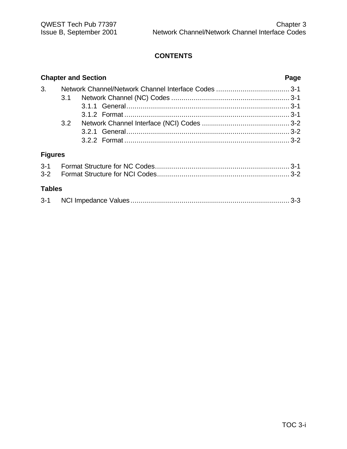|                |     | <b>Chapter and Section</b> | Page |  |  |  |
|----------------|-----|----------------------------|------|--|--|--|
| 3.             |     |                            |      |  |  |  |
|                | 3.1 |                            |      |  |  |  |
|                |     |                            |      |  |  |  |
|                |     |                            |      |  |  |  |
|                | 3.2 |                            |      |  |  |  |
|                |     |                            |      |  |  |  |
|                |     |                            |      |  |  |  |
| <b>Figures</b> |     |                            |      |  |  |  |
|                |     |                            |      |  |  |  |
|                |     |                            |      |  |  |  |
| <b>Tables</b>  |     |                            |      |  |  |  |

| $3 - 1$ |  |  |  |
|---------|--|--|--|
|---------|--|--|--|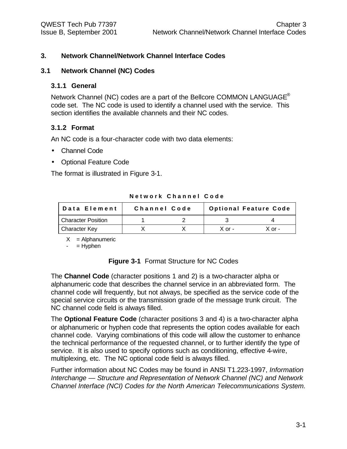# **3. Network Channel/Network Channel Interface Codes**

#### **3.1 Network Channel (NC) Codes**

#### **3.1.1 General**

Network Channel (NC) codes are a part of the Bellcore COMMON LANGUAGE<sup>®</sup> code set. The NC code is used to identify a channel used with the service. This section identifies the available channels and their NC codes.

### **3.1.2 Format**

An NC code is a four-character code with two data elements:

- Channel Code
- Optional Feature Code

The format is illustrated in Figure 3-1.

| ∣Data Element             | Channel Code | <b>Optional Feature Code</b> |          |  |  |
|---------------------------|--------------|------------------------------|----------|--|--|
| <b>Character Position</b> |              |                              |          |  |  |
| <b>Character Key</b>      |              | $X$ or -                     | $X$ or - |  |  |

**Network Channel Code**

 $X =$  Alphanumeric

 $-$  = Hyphen

**Figure 3-1** Format Structure for NC Codes

The **Channel Code** (character positions 1 and 2) is a two-character alpha or alphanumeric code that describes the channel service in an abbreviated form. The channel code will frequently, but not always, be specified as the service code of the special service circuits or the transmission grade of the message trunk circuit. The NC channel code field is always filled.

The **Optional Feature Code** (character positions 3 and 4) is a two-character alpha or alphanumeric or hyphen code that represents the option codes available for each channel code. Varying combinations of this code will allow the customer to enhance the technical performance of the requested channel, or to further identify the type of service. It is also used to specify options such as conditioning, effective 4-wire, multiplexing, etc. The NC optional code field is always filled.

Further information about NC Codes may be found in ANSI T1.223-1997, *Information Interchange — Structure and Representation of Network Channel (NC) and Network Channel Interface (NCI) Codes for the North American Telecommunications System.*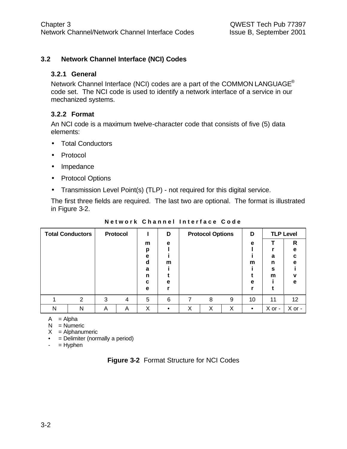# **3.2 Network Channel Interface (NCI) Codes**

#### **3.2.1 General**

Network Channel Interface (NCI) codes are a part of the COMMON LANGUAGE® code set. The NCI code is used to identify a network interface of a service in our mechanized systems.

### **3.2.2 Format**

An NCI code is a maximum twelve-character code that consists of five (5) data elements:

- Total Conductors
- Protocol
- Impedance
- Protocol Options
- Transmission Level Point(s) (TLP) not required for this digital service.

The first three fields are required. The last two are optional. The format is illustrated in Figure 3-2.

| <b>Total Conductors</b> |   |   | <b>Protocol</b> |        | D |   | <b>Protocol Options</b> |   | D         |        | <b>TLP Level</b> |
|-------------------------|---|---|-----------------|--------|---|---|-------------------------|---|-----------|--------|------------------|
|                         |   |   |                 | m<br>р | е |   |                         |   | e         |        | R<br>е           |
|                         |   |   |                 | е<br>d | m |   |                         |   | m         | a<br>n | C<br>e           |
|                         |   |   |                 | a<br>n |   |   |                         |   |           | S<br>m | ν                |
|                         |   |   |                 | c<br>е | е |   |                         |   | e         |        | е                |
|                         | 2 | 3 | 4               | 5      | 6 | 7 | 8                       | 9 | 10        | 11     | 12 <sup>°</sup>  |
| N                       | Ν | Α | Α               | Χ      |   | X | Χ                       | Х | $\bullet$ | X or - | X or -           |

**Network Channel Interface Code**

 $A = Alpha$ 

 $N =$  Numeric

 $X =$  Alphanumeric

• = Delimiter (normally a period)

 $-$  = Hyphen

| <b>Figure 3-2 Format Structure for NCI Codes</b> |  |  |  |
|--------------------------------------------------|--|--|--|
|--------------------------------------------------|--|--|--|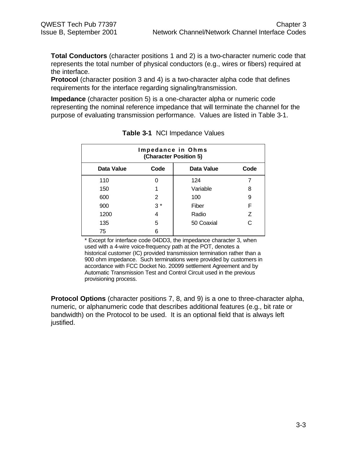**Total Conductors** (character positions 1 and 2) is a two-character numeric code that represents the total number of physical conductors (e.g., wires or fibers) required at the interface.

**Protocol** (character position 3 and 4) is a two-character alpha code that defines requirements for the interface regarding signaling/transmission.

**Impedance** (character position 5) is a one-character alpha or numeric code representing the nominal reference impedance that will terminate the channel for the purpose of evaluating transmission performance. Values are listed in Table 3-1.

| Impedance in Ohms<br>(Character Position 5) |      |            |                |
|---------------------------------------------|------|------------|----------------|
| Data Value                                  | Code | Data Value | Code           |
| 110                                         | O    | 124        |                |
| 150                                         |      | Variable   | 8              |
| 600                                         | 2    | 100        | 9              |
| 900                                         | $3*$ | Fiber      | F              |
| 1200                                        | 4    | Radio      | $\overline{z}$ |
| 135                                         | 5    | 50 Coaxial | C              |
| 75                                          | 6    |            |                |

| Table 3-1 NCI Impedance Values |  |
|--------------------------------|--|
|--------------------------------|--|

\* Except for interface code 04DD3, the impedance character 3, when used with a 4-wire voice-frequency path at the POT, denotes a historical customer (IC) provided transmission termination rather than a 900 ohm impedance. Such terminations were provided by customers in accordance with FCC Docket No. 20099 settlement Agreement and by Automatic Transmission Test and Control Circuit used in the previous provisioning process.

**Protocol Options** (character positions 7, 8, and 9) is a one to three-character alpha, numeric, or alphanumeric code that describes additional features (e.g., bit rate or bandwidth) on the Protocol to be used. It is an optional field that is always left justified.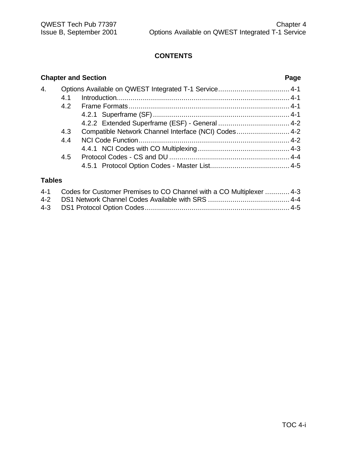# **Chapter and Section Page** 4. Options Available on QWEST Integrated T-1 Service................................... 4-1 4.1 Introduction..................................................................................... 4-1 4.2 Frame Formats............................................................................... 4-1 4.2.1 Superframe (SF)................................................................... 4-1 4.2.2 Extended Superframe (ESF) - General ................................... 4-2 4.3 Compatible Network Channel Interface (NCI) Codes.......................... 4-2 4.4 NCI Code Function.......................................................................... 4-2 4.4.1 NCI Codes with CO Multiplexing............................................. 4-3 4.5 Protocol Codes - CS and DU ........................................................... 4-4 4.5.1 Protocol Option Codes - Master List....................................... 4-5

# **Tables**

| 4-1 Codes for Customer Premises to CO Channel with a CO Multiplexer  4-3 |
|--------------------------------------------------------------------------|
|                                                                          |
|                                                                          |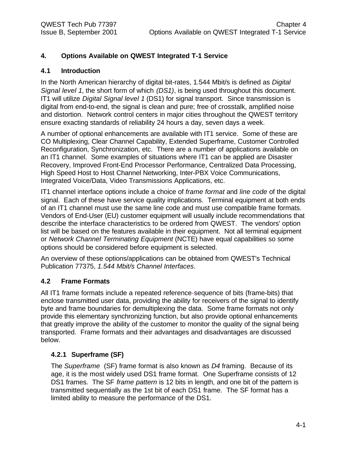# **4. Options Available on QWEST Integrated T-1 Service**

# **4.1 Introduction**

In the North American hierarchy of digital bit-rates, 1.544 Mbit/s is defined as *Digital Signal level 1*, the short form of which *(DS1)*, is being used throughout this document. IT1 will utilize *Digital Signal level 1* (DS1) for signal transport. Since transmission is digital from end-to-end, the signal is clean and pure; free of crosstalk, amplified noise and distortion. Network control centers in major cities throughout the QWEST territory ensure exacting standards of reliability 24 hours a day, seven days a week.

A number of optional enhancements are available with IT1 service. Some of these are CO Multiplexing, Clear Channel Capability, Extended Superframe, Customer Controlled Reconfiguration, Synchronization, etc. There are a number of applications available on an IT1 channel. Some examples of situations where IT1 can be applied are Disaster Recovery, Improved Front-End Processor Performance, Centralized Data Processing, High Speed Host to Host Channel Networking, Inter-PBX Voice Communications, Integrated Voice/Data, Video Transmissions Applications, etc.

IT1 channel interface options include a choice of *frame format* and *line code* of the digital signal. Each of these have service quality implications. Terminal equipment at both ends of an IT1 channel must use the same line code and must use compatible frame formats. Vendors of End-User (EU) customer equipment will usually include recommendations that describe the interface characteristics to be ordered from QWEST. The vendors' option list will be based on the features available in their equipment. Not all terminal equipment or *Network Channel Terminating Equipment* (NCTE) have equal capabilities so some options should be considered before equipment is selected.

An overview of these options/applications can be obtained from QWEST's Technical Publication 77375, *1.544 Mbit/s Channel Interfaces*.

# **4.2 Frame Formats**

All IT1 frame formats include a repeated reference-sequence of bits (frame-bits) that enclose transmitted user data, providing the ability for receivers of the signal to identify byte and frame boundaries for demultiplexing the data. Some frame formats not only provide this elementary synchronizing function, but also provide optional enhancements that greatly improve the ability of the customer to monitor the quality of the signal being transported. Frame formats and their advantages and disadvantages are discussed below.

# **4.2.1 Superframe (SF)**

The *Superframe* (SF) frame format is also known as *D4* framing. Because of its age, it is the most widely used DS1 frame format. One Superframe consists of 12 DS1 frames. The SF *frame pattern* is 12 bits in length, and one bit of the pattern is transmitted sequentially as the 1st bit of each DS1 frame. The SF format has a limited ability to measure the performance of the DS1.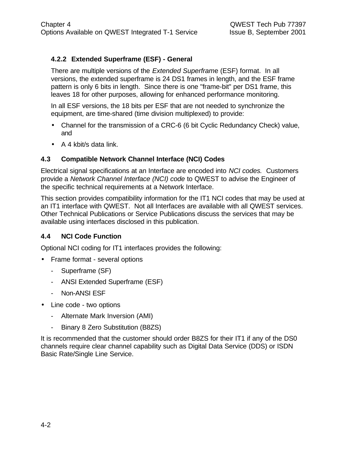# **4.2.2 Extended Superframe (ESF) - General**

There are multiple versions of the *Extended Superfram*e (ESF) format. In all versions, the extended superframe is 24 DS1 frames in length, and the ESF frame pattern is only 6 bits in length. Since there is one "frame-bit" per DS1 frame, this leaves 18 for other purposes, allowing for enhanced performance monitoring.

In all ESF versions, the 18 bits per ESF that are not needed to synchronize the equipment, are time-shared (time division multiplexed) to provide:

- Channel for the transmission of a CRC-6 (6 bit Cyclic Redundancy Check) value, and
- A 4 kbit/s data link.

# **4.3 Compatible Network Channel Interface (NCI) Codes**

Electrical signal specifications at an Interface are encoded into *NCI codes.* Customers provide a *Network Channel Interface (NCI) code* to QWEST to advise the Engineer of the specific technical requirements at a Network Interface.

This section provides compatibility information for the IT1 NCI codes that may be used at an IT1 interface with QWEST. Not all Interfaces are available with all QWEST services. Other Technical Publications or Service Publications discuss the services that may be available using interfaces disclosed in this publication.

# **4.4 NCI Code Function**

Optional NCI coding for IT1 interfaces provides the following:

- Frame format several options
	- Superframe (SF)
	- ANSI Extended Superframe (ESF)
	- Non-ANSI ESF
- Line code two options
	- Alternate Mark Inversion (AMI)
	- Binary 8 Zero Substitution (B8ZS)

It is recommended that the customer should order B8ZS for their IT1 if any of the DS0 channels require clear channel capability such as Digital Data Service (DDS) or ISDN Basic Rate/Single Line Service.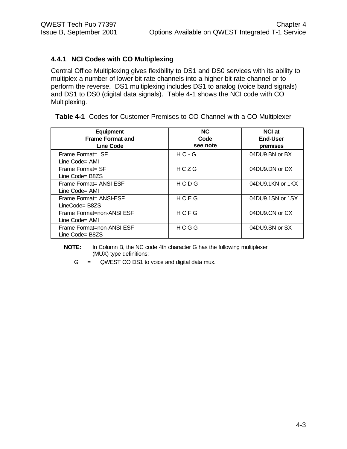# **4.4.1 NCI Codes with CO Multiplexing**

Central Office Multiplexing gives flexibility to DS1 and DS0 services with its ability to multiplex a number of lower bit rate channels into a higher bit rate channel or to perform the reverse. DS1 multiplexing includes DS1 to analog (voice band signals) and DS1 to DS0 (digital data signals). Table 4-1 shows the NCI code with CO Multiplexing.

|  |  | <b>Table 4-1</b> Codes for Customer Premises to CO Channel with a CO Multiplexer |
|--|--|----------------------------------------------------------------------------------|
|  |  |                                                                                  |

| <b>Equipment</b><br><b>Frame Format and</b><br><b>Line Code</b> | <b>NC</b><br>Code<br>see note | <b>NCI at</b><br><b>End-User</b><br>premises |
|-----------------------------------------------------------------|-------------------------------|----------------------------------------------|
| Frame Format= SF<br>Line Code= AMI                              | $HC - G$                      | 04DU9.BN or BX                               |
| Frame Format= SF<br>Line Code= B8ZS                             | HCZG                          | 04DU9.DN or DX                               |
| Frame Format= ANSI ESF<br>Line Code= AMI                        | HCDG                          | 04DU9.1KN or 1KX                             |
| Frame Format= ANSI-ESF<br>LineCode= B8ZS                        | HCEG                          | 04DU9.1SN or 1SX                             |
| Frame Format=non-ANSI ESF<br>Line Code= AMI                     | HCFG                          | 04DU9.CN or CX                               |
| Frame Format=non-ANSI ESF<br>Line Code= B8ZS                    | HCGG                          | 04DU9.SN or SX                               |

**NOTE:** In Column B, the NC code 4th character G has the following multiplexer (MUX) type definitions:

 $G = QWEST CO DS1$  to voice and digital data mux.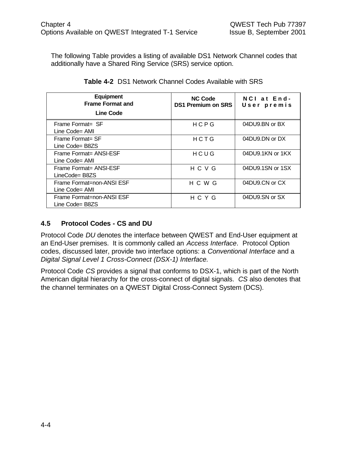The following Table provides a listing of available DS1 Network Channel codes that additionally have a Shared Ring Service (SRS) service option.

| <b>Equipment</b><br><b>Frame Format and</b><br>Line Code | <b>NC Code</b><br><b>DS1 Premium on SRS</b> | NCI at End-<br>User premis |
|----------------------------------------------------------|---------------------------------------------|----------------------------|
| Frame Format= SF<br>Line Code= AMI                       | HCPG                                        | 04DU9.BN or BX             |
| Frame Format= SF<br>Line Code= B8ZS                      | HCTG                                        | $04DU9$ DN or DX           |
| Frame Format= ANSI-ESF<br>Line Code= AMI                 | HCUG                                        | 04DU9.1KN or 1KX           |
| Frame Format= ANSI-ESF<br>LineCode= B8ZS                 | HCVG                                        | 04DU9.1SN or 1SX           |
| Frame Format=non-ANSI ESF<br>Line Code= AMI              | H C W G                                     | 04DU9.CN or CX             |
| Frame Format=non-ANSI ESF<br>Line Code= B8ZS             | HCYG                                        | 04DU9.SN or SX             |

| Table 4-2 DS1 Network Channel Codes Available with SRS |  |
|--------------------------------------------------------|--|
|--------------------------------------------------------|--|

# **4.5 Protocol Codes - CS and DU**

Protocol Code *DU* denotes the interface between QWEST and End-User equipment at an End-User premises. It is commonly called an *Access Interface*. Protocol Option codes, discussed later, provide two interface options: a *Conventional Interface* and a *Digital Signal Level 1 Cross-Connect (DSX-1) Interface.*

Protocol Code *CS* provides a signal that conforms to DSX-1, which is part of the North American digital hierarchy for the cross-connect of digital signals. *CS* also denotes that the channel terminates on a QWEST Digital Cross-Connect System (DCS).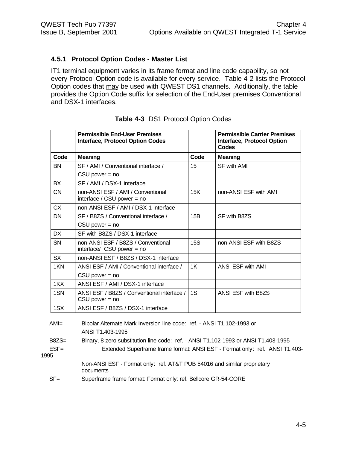### **4.5.1 Protocol Option Codes - Master List**

IT1 terminal equipment varies in its frame format and line code capability, so not every Protocol Option code is available for every service. Table 4-2 lists the Protocol Option codes that may be used with QWEST DS1 channels. Additionally, the table provides the Option Code suffix for selection of the End-User premises Conventional and DSX-1 interfaces.

|           | <b>Permissible End-User Premises</b><br><b>Interface, Protocol Option Codes</b> |      | <b>Permissible Carrier Premises</b><br><b>Interface, Protocol Option</b><br>Codes |
|-----------|---------------------------------------------------------------------------------|------|-----------------------------------------------------------------------------------|
| Code      | <b>Meaning</b>                                                                  | Code | <b>Meaning</b>                                                                    |
| <b>BN</b> | SF / AMI / Conventional interface /                                             | 15   | <b>SF with AMI</b>                                                                |
|           | $CSU$ power = no                                                                |      |                                                                                   |
| <b>BX</b> | SF / AMI / DSX-1 interface                                                      |      |                                                                                   |
| <b>CN</b> | non-ANSI ESF / AMI / Conventional<br>interface / CSU power = $no$               | 15K  | non-ANSI ESF with AMI                                                             |
| <b>CX</b> | non-ANSI ESF / AMI / DSX-1 interface                                            |      |                                                                                   |
| <b>DN</b> | SF / B8ZS / Conventional interface /                                            | 15B  | SF with B8ZS                                                                      |
|           | $CSU$ power = no                                                                |      |                                                                                   |
| <b>DX</b> | SF with B8ZS / DSX-1 interface                                                  |      |                                                                                   |
| <b>SN</b> | non-ANSI ESF / B8ZS / Conventional<br>interface/ CSU power = no                 | 15S  | non-ANSI ESF with B8ZS                                                            |
| <b>SX</b> | non-ANSI ESF / B8ZS / DSX-1 interface                                           |      |                                                                                   |
| 1KN       | ANSI ESF / AMI / Conventional interface /                                       | 1K   | ANSI ESF with AMI                                                                 |
|           | $CSU$ power = no                                                                |      |                                                                                   |
| 1KX       | ANSI ESF / AMI / DSX-1 interface                                                |      |                                                                                   |
| 1SN       | ANSI ESF / B8ZS / Conventional interface /<br>$CSU$ power = no                  | 1S   | ANSI ESF with B8ZS                                                                |
| 1SX       | ANSI ESF / B8ZS / DSX-1 interface                                               |      |                                                                                   |
| AMI=      | Bipolar Alternate Mark Inversion line code: ref. - ANSI T1.102-1993 or          |      |                                                                                   |

### **Table 4-3** DS1 Protocol Option Codes

| $AMI=$          | Bipolar Alternate Mark Inversion line code: ref. - ANSI T1.102-1993 or               |
|-----------------|--------------------------------------------------------------------------------------|
|                 | ANSI T1.403-1995                                                                     |
| $B8ZS=$         | Binary, 8 zero substitution line code: ref. - ANSI T1.102-1993 or ANSI T1.403-1995   |
| $ESF =$<br>1995 | Extended Superframe frame format: ANSI ESF - Format only: ref. ANSI T1.403-          |
|                 | Non-ANSI ESF - Format only: ref. AT&T PUB 54016 and similar proprietary<br>documents |
| $SF =$          | Superframe frame format: Format only: ref. Bellcore GR-54-CORE                       |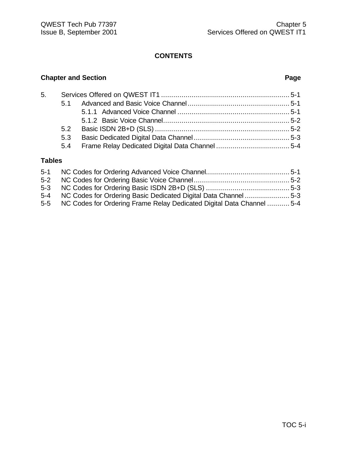# **Chapter and Section Page**

| 5. |     |  |
|----|-----|--|
|    |     |  |
|    |     |  |
|    |     |  |
|    |     |  |
|    | 5.3 |  |
|    |     |  |
|    |     |  |

# **Tables**

| $5 - 2$ |                                                                           |  |
|---------|---------------------------------------------------------------------------|--|
|         |                                                                           |  |
|         | 5-4 NC Codes for Ordering Basic Dedicated Digital Data Channel 5-3        |  |
|         | 5-5 NC Codes for Ordering Frame Relay Dedicated Digital Data Channel  5-4 |  |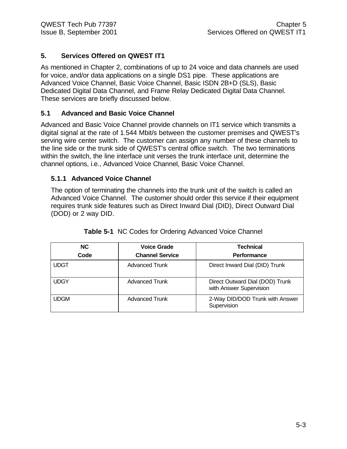# **5. Services Offered on QWEST IT1**

As mentioned in Chapter 2, combinations of up to 24 voice and data channels are used for voice, and/or data applications on a single DS1 pipe. These applications are Advanced Voice Channel, Basic Voice Channel, Basic ISDN 2B+D (SLS), Basic Dedicated Digital Data Channel, and Frame Relay Dedicated Digital Data Channel. These services are briefly discussed below.

# **5.1 Advanced and Basic Voice Channel**

Advanced and Basic Voice Channel provide channels on IT1 service which transmits a digital signal at the rate of 1.544 Mbit/s between the customer premises and QWEST's serving wire center switch. The customer can assign any number of these channels to the line side or the trunk side of QWEST's central office switch. The two terminations within the switch, the line interface unit verses the trunk interface unit, determine the channel options, i.e., Advanced Voice Channel, Basic Voice Channel.

# **5.1.1 Advanced Voice Channel**

The option of terminating the channels into the trunk unit of the switch is called an Advanced Voice Channel. The customer should order this service if their equipment requires trunk side features such as Direct Inward Dial (DID), Direct Outward Dial (DOD) or 2 way DID.

| NC.<br>Code | <b>Voice Grade</b><br><b>Channel Service</b> | <b>Technical</b><br><b>Performance</b>                     |
|-------------|----------------------------------------------|------------------------------------------------------------|
| <b>UDGT</b> | <b>Advanced Trunk</b>                        | Direct Inward Dial (DID) Trunk                             |
| <b>UDGY</b> | <b>Advanced Trunk</b>                        | Direct Outward Dial (DOD) Trunk<br>with Answer Supervision |
| <b>UDGM</b> | <b>Advanced Trunk</b>                        | 2-Way DID/DOD Trunk with Answer<br>Supervision             |

| Table 5-1 NC Codes for Ordering Advanced Voice Channel |  |  |  |  |
|--------------------------------------------------------|--|--|--|--|
|--------------------------------------------------------|--|--|--|--|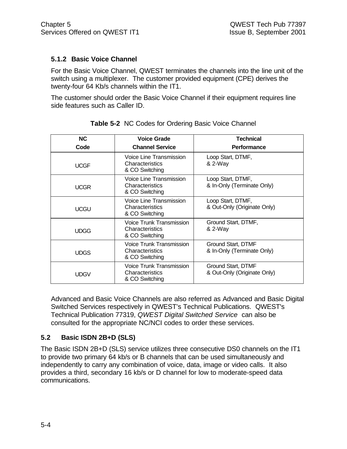# **5.1.2 Basic Voice Channel**

For the Basic Voice Channel, QWEST terminates the channels into the line unit of the switch using a multiplexer. The customer provided equipment (CPE) derives the twenty-four 64 Kb/s channels within the IT1.

The customer should order the Basic Voice Channel if their equipment requires line side features such as Caller ID.

| <b>NC</b>   | <b>Voice Grade</b>                                            | <b>Technical</b>                                  |
|-------------|---------------------------------------------------------------|---------------------------------------------------|
| Code        | <b>Channel Service</b>                                        | <b>Performance</b>                                |
| <b>UCGF</b> | Voice Line Transmission<br>Characteristics<br>& CO Switching  | Loop Start, DTMF,<br>& 2-Way                      |
| <b>UCGR</b> | Voice Line Transmission<br>Characteristics<br>& CO Switching  | Loop Start, DTMF,<br>& In-Only (Terminate Only)   |
| <b>UCGU</b> | Voice Line Transmission<br>Characteristics<br>& CO Switching  | Loop Start, DTMF,<br>& Out-Only (Originate Only)  |
| UDGG        | Voice Trunk Transmission<br>Characteristics<br>& CO Switching | Ground Start, DTMF,<br>& 2-Way                    |
| <b>UDGS</b> | Voice Trunk Transmission<br>Characteristics<br>& CO Switching | Ground Start, DTMF<br>& In-Only (Terminate Only)  |
| <b>UDGV</b> | Voice Trunk Transmission<br>Characteristics<br>& CO Switching | Ground Start, DTMF<br>& Out-Only (Originate Only) |

**Table 5-2** NC Codes for Ordering Basic Voice Channel

Advanced and Basic Voice Channels are also referred as Advanced and Basic Digital Switched Services respectively in QWEST's Technical Publications. QWEST's Technical Publication 77319, *QWEST Digital Switched Service* can also be consulted for the appropriate NC/NCI codes to order these services.

# **5.2 Basic ISDN 2B+D (SLS)**

The Basic ISDN 2B+D (SLS) service utilizes three consecutive DS0 channels on the IT1 to provide two primary 64 kb/s or B channels that can be used simultaneously and independently to carry any combination of voice, data, image or video calls. It also provides a third, secondary 16 kb/s or D channel for low to moderate-speed data communications.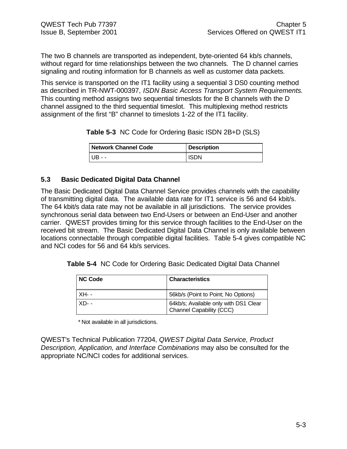The two B channels are transported as independent, byte-oriented 64 kb/s channels, without regard for time relationships between the two channels. The D channel carries signaling and routing information for B channels as well as customer data packets.

This service is transported on the IT1 facility using a sequential 3 DS0 counting method as described in TR-NWT-000397, *ISDN Basic Access Transport System Requirements.* This counting method assigns two sequential timeslots for the B channels with the D channel assigned to the third sequential timeslot. This multiplexing method restricts assignment of the first "B" channel to timeslots 1-22 of the IT1 facility.

**Table 5-3** NC Code for Ordering Basic ISDN 2B+D (SLS)

| Network Channel Code | <b>Description</b> |
|----------------------|--------------------|
| ' UB - -             | <b>ISDN</b>        |

# **5.3 Basic Dedicated Digital Data Channel**

The Basic Dedicated Digital Data Channel Service provides channels with the capability of transmitting digital data. The available data rate for IT1 service is 56 and 64 kbit/s. The 64 kbit/s data rate may not be available in all jurisdictions. The service provides synchronous serial data between two End-Users or between an End-User and another carrier. QWEST provides timing for this service through facilities to the End-User on the received bit stream. The Basic Dedicated Digital Data Channel is only available between locations connectable through compatible digital facilities. Table 5-4 gives compatible NC and NCI codes for 56 and 64 kb/s services.

**Table 5-4** NC Code for Ordering Basic Dedicated Digital Data Channel

| <b>NC Code</b> | <b>Characteristics</b>                                            |
|----------------|-------------------------------------------------------------------|
| XH- -          | 56kb/s (Point to Point; No Options)                               |
| - XD- -        | 64kb/s; Available only with DS1 Clear<br>Channel Capability (CCC) |

\* Not available in all jurisdictions.

QWEST's Technical Publication 77204, *QWEST Digital Data Service, Product Description, Application, and Interface Combinations* may also be consulted for the appropriate NC/NCI codes for additional services.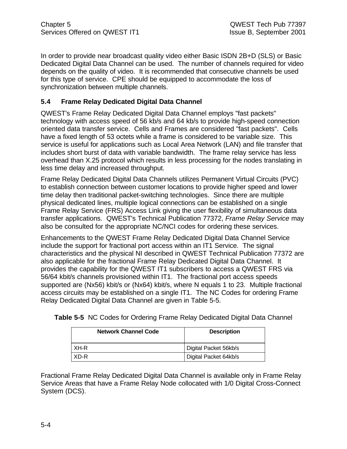In order to provide near broadcast quality video either Basic ISDN 2B+D (SLS) or Basic Dedicated Digital Data Channel can be used. The number of channels required for video depends on the quality of video. It is recommended that consecutive channels be used for this type of service. CPE should be equipped to accommodate the loss of synchronization between multiple channels.

# **5.4 Frame Relay Dedicated Digital Data Channel**

QWEST's Frame Relay Dedicated Digital Data Channel employs "fast packets" technology with access speed of 56 kb/s and 64 kb/s to provide high-speed connection oriented data transfer service. Cells and Frames are considered "fast packets". Cells have a fixed length of 53 octets while a frame is considered to be variable size. This service is useful for applications such as Local Area Network (LAN) and file transfer that includes short burst of data with variable bandwidth. The frame relay service has less overhead than X.25 protocol which results in less processing for the nodes translating in less time delay and increased throughput.

Frame Relay Dedicated Digital Data Channels utilizes Permanent Virtual Circuits (PVC) to establish connection between customer locations to provide higher speed and lower time delay then traditional packet-switching technologies. Since there are multiple physical dedicated lines, multiple logical connections can be established on a single Frame Relay Service (FRS) Access Link giving the user flexibility of simultaneous data transfer applications. QWEST's Technical Publication 77372, *Frame Relay Service* may also be consulted for the appropriate NC/NCI codes for ordering these services.

Enhancements to the QWEST Frame Relay Dedicated Digital Data Channel Service include the support for fractional port access within an IT1 Service. The signal characteristics and the physical NI described in QWEST Technical Publication 77372 are also applicable for the fractional Frame Relay Dedicated Digital Data Channel. It provides the capability for the QWEST IT1 subscribers to access a QWEST FRS via 56/64 kbit/s channels provisioned within IT1. The fractional port access speeds supported are (Nx56) kbit/s or (Nx64) kbit/s, where N equals 1 to 23. Multiple fractional access circuits may be established on a single IT1. The NC Codes for ordering Frame Relay Dedicated Digital Data Channel are given in Table 5-5.

| <b>Network Channel Code</b> | <b>Description</b>    |
|-----------------------------|-----------------------|
| XH-R                        | Digital Packet 56kb/s |
| XD-R                        | Digital Packet 64kb/s |

**Table 5-5** NC Codes for Ordering Frame Relay Dedicated Digital Data Channel

Fractional Frame Relay Dedicated Digital Data Channel is available only in Frame Relay Service Areas that have a Frame Relay Node collocated with 1/0 Digital Cross-Connect System (DCS).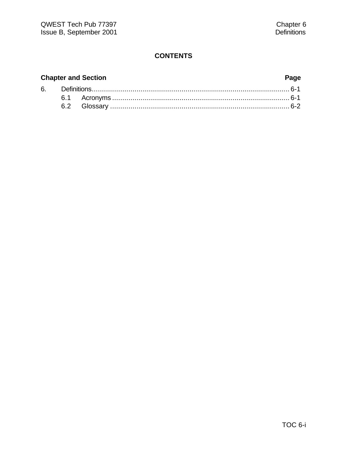# **Chapter and Section Page**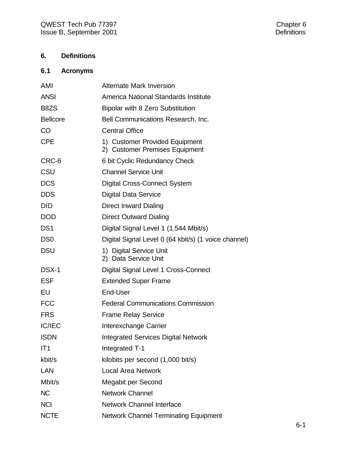# **6. Definitions**

# **6.1 Acronyms**

| AMI             | <b>Alternate Mark Inversion</b>                                  |
|-----------------|------------------------------------------------------------------|
| <b>ANSI</b>     | America National Standards Institute                             |
| B8ZS            | Bipolar with 8 Zero Substitution                                 |
| <b>Bellcore</b> | Bell Communications Research, Inc.                               |
| CO              | <b>Central Office</b>                                            |
| <b>CPE</b>      | 1) Customer Provided Equipment<br>2) Customer Premises Equipment |
| CRC-6           | 6 bit Cyclic Redundancy Check                                    |
| CSU             | <b>Channel Service Unit</b>                                      |
| <b>DCS</b>      | <b>Digital Cross-Connect System</b>                              |
| <b>DDS</b>      | <b>Digital Data Service</b>                                      |
| <b>DID</b>      | <b>Direct Inward Dialing</b>                                     |
| <b>DOD</b>      | <b>Direct Outward Dialing</b>                                    |
| DS <sub>1</sub> | Digital Signal Level 1 (1.544 Mbit/s)                            |
| DS <sub>0</sub> | Digital Signal Level 0 (64 kbit/s) (1 voice channel)             |
| <b>DSU</b>      | 1) Digital Service Unit<br>2) Data Service Unit                  |
| DSX-1           | Digital Signal Level 1 Cross-Connect                             |
| <b>ESF</b>      | <b>Extended Super Frame</b>                                      |
| EU              | End-User                                                         |
| <b>FCC</b>      | <b>Federal Communications Commission</b>                         |
| <b>FRS</b>      | <b>Frame Relay Service</b>                                       |
| <b>IC/IEC</b>   | Interexchange Carrier                                            |
| <b>ISDN</b>     | <b>Integrated Services Digital Network</b>                       |
| IT1             | Integrated T-1                                                   |
| kbit/s          | kilobits per second (1,000 bit/s)                                |
| LAN             | <b>Local Area Network</b>                                        |
| Mbit/s          | Megabit per Second                                               |
| <b>NC</b>       | <b>Network Channel</b>                                           |
| <b>NCI</b>      | <b>Network Channel Interface</b>                                 |
| <b>NCTE</b>     | <b>Network Channel Terminating Equipment</b>                     |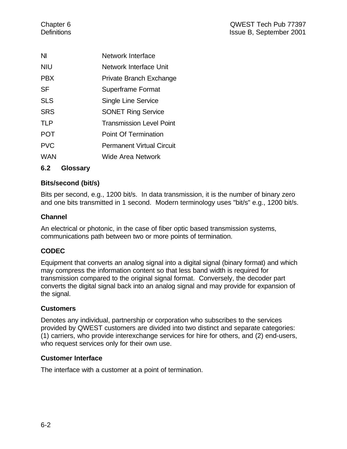| NI         | Network Interface                |
|------------|----------------------------------|
| <b>NIU</b> | Network Interface Unit           |
| <b>PBX</b> | Private Branch Exchange          |
| <b>SF</b>  | Superframe Format                |
| <b>SLS</b> | <b>Single Line Service</b>       |
| <b>SRS</b> | <b>SONET Ring Service</b>        |
| <b>TLP</b> | <b>Transmission Level Point</b>  |
| <b>POT</b> | <b>Point Of Termination</b>      |
| <b>PVC</b> | <b>Permanent Virtual Circuit</b> |
| WAN        | Wide Area Network                |
|            |                                  |

**6.2 Glossary**

# **Bits/second (bit/s)**

Bits per second, e.g., 1200 bit/s. In data transmission, it is the number of binary zero and one bits transmitted in 1 second. Modern terminology uses "bit/s" e.g., 1200 bit/s.

# **Channel**

An electrical or photonic, in the case of fiber optic based transmission systems, communications path between two or more points of termination.

# **CODEC**

Equipment that converts an analog signal into a digital signal (binary format) and which may compress the information content so that less band width is required for transmission compared to the original signal format. Conversely, the decoder part converts the digital signal back into an analog signal and may provide for expansion of the signal.

### **Customers**

Denotes any individual, partnership or corporation who subscribes to the services provided by QWEST customers are divided into two distinct and separate categories: (1) carriers, who provide interexchange services for hire for others, and (2) end-users, who request services only for their own use.

### **Customer Interface**

The interface with a customer at a point of termination.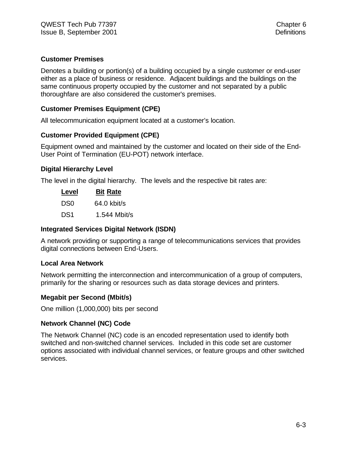# **Customer Premises**

Denotes a building or portion(s) of a building occupied by a single customer or end-user either as a place of business or residence. Adjacent buildings and the buildings on the same continuous property occupied by the customer and not separated by a public thoroughfare are also considered the customer's premises.

# **Customer Premises Equipment (CPE)**

All telecommunication equipment located at a customer's location.

# **Customer Provided Equipment (CPE)**

Equipment owned and maintained by the customer and located on their side of the End-User Point of Termination (EU-POT) network interface.

### **Digital Hierarchy Level**

The level in the digital hierarchy. The levels and the respective bit rates are:

| Level           | <b>Bit Rate</b> |
|-----------------|-----------------|
| DS0             | 64.0 kbit/s     |
| DS <sub>1</sub> | 1.544 Mbit/s    |

### **Integrated Services Digital Network (ISDN)**

A network providing or supporting a range of telecommunications services that provides digital connections between End-Users.

### **Local Area Network**

Network permitting the interconnection and intercommunication of a group of computers, primarily for the sharing or resources such as data storage devices and printers.

### **Megabit per Second (Mbit/s)**

One million (1,000,000) bits per second

### **Network Channel (NC) Code**

The Network Channel (NC) code is an encoded representation used to identify both switched and non-switched channel services. Included in this code set are customer options associated with individual channel services, or feature groups and other switched services.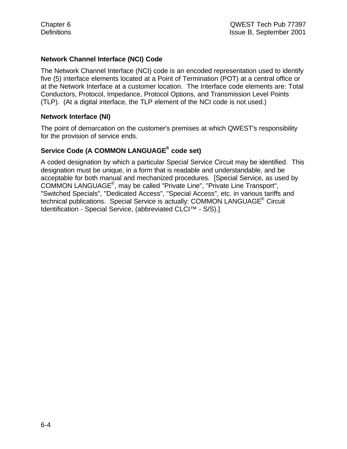# **Network Channel Interface (NCI) Code**

The Network Channel Interface (NCI) code is an encoded representation used to identify five (5) interface elements located at a Point of Termination (POT) at a central office or at the Network Interface at a customer location. The Interface code elements are: Total Conductors, Protocol, Impedance, Protocol Options, and Transmission Level Points (TLP). (At a digital interface, the TLP element of the NCI code is not used.)

### **Network Interface (NI)**

The point of demarcation on the customer's premises at which QWEST's responsibility for the provision of service ends.

# **Service Code (A COMMON LANGUAGE® code set)**

A coded designation by which a particular Special Service Circuit may be identified. This designation must be unique, in a form that is readable and understandable, and be acceptable for both manual and mechanized procedures. [Special Service, as used by COMMON LANGUAGE® , may be called "Private Line", "Private Line Transport", "Switched Specials", "Dedicated Access", "Special Access", etc. in various tariffs and technical publications. Special Service is actually: COMMON LANGUAGE<sup>®</sup> Circuit Identification - Special Service, (abbreviated CLCI™ - S/S).]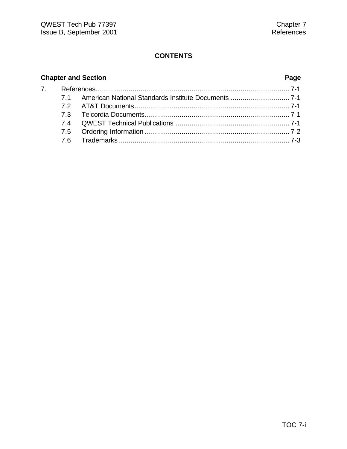# **Chapter and Section Page**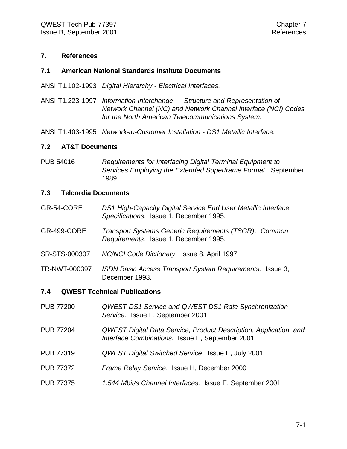#### **7. References**

#### **7.1 American National Standards Institute Documents**

ANSI T1.102-1993 *Digital Hierarchy - Electrical Interfaces.*

ANSI T1.223-1997 *Information Interchange — Structure and Representation of Network Channel (NC) and Network Channel Interface (NCI) Codes for the North American Telecommunications System.*

ANSI T1.403-1995 *Network-to-Customer Installation - DS1 Metallic Interface.*

#### **7.2 AT&T Documents**

PUB 54016 *Requirements for Interfacing Digital Terminal Equipment to Services Employing the Extended Superframe Format.* September 1989.

#### **7.3 Telcordia Documents**

- GR-54-CORE *DS1 High-Capacity Digital Service End User Metallic Interface Specifications*. Issue 1, December 1995.
- GR-499-CORE *Transport Systems Generic Requirements (TSGR): Common Requirements*. Issue 1, December 1995.
- SR-STS-000307 *NC/NCI Code Dictionary.* Issue 8, April 1997.
- TR-NWT-000397 *ISDN Basic Access Transport System Requirements*. Issue 3, December 1993.

#### **7.4 QWEST Technical Publications**

- PUB 77200 *QWEST DS1 Service and QWEST DS1 Rate Synchronization Service.* Issue F, September 2001
- PUB 77204 *QWEST Digital Data Service, Product Description, Application, and Interface Combinations.* Issue E, September 2001
- PUB 77319 *QWEST Digital Switched Service*. Issue E, July 2001
- PUB 77372 *Frame Relay Service*. Issue H, December 2000
- PUB 77375 *1.544 Mbit/s Channel Interfaces.* Issue E, September 2001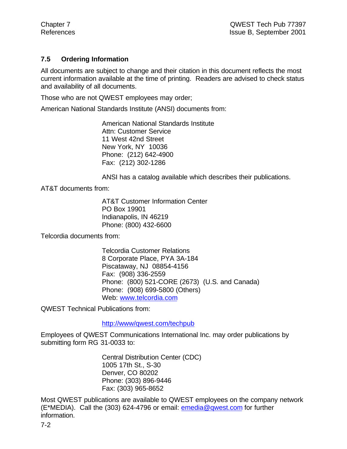# **7.5 Ordering Information**

All documents are subject to change and their citation in this document reflects the most current information available at the time of printing. Readers are advised to check status and availability of all documents.

Those who are not QWEST employees may order;

American National Standards Institute (ANSI) documents from:

American National Standards Institute Attn: Customer Service 11 West 42nd Street New York, NY 10036 Phone: (212) 642-4900 Fax: (212) 302-1286

ANSI has a catalog available which describes their publications.

AT&T documents from:

AT&T Customer Information Center PO Box 19901 Indianapolis, IN 46219 Phone: (800) 432-6600

Telcordia documents from:

Telcordia Customer Relations 8 Corporate Place, PYA 3A-184 Piscataway, NJ 08854-4156 Fax: (908) 336-2559 Phone: (800) 521-CORE (2673) (U.S. and Canada) Phone: (908) 699-5800 (Others) Web: www.telcordia.com

QWEST Technical Publications from:

http://www/qwest.com/techpub

Employees of QWEST Communications International Inc. may order publications by submitting form RG 31-0033 to:

> Central Distribution Center (CDC) 1005 17th St., S-30 Denver, CO 80202 Phone: (303) 896-9446 Fax: (303) 965-8652

Most QWEST publications are available to QWEST employees on the company network (E\*MEDIA). Call the (303) 624-4796 or email: emedia@qwest.com for further information.